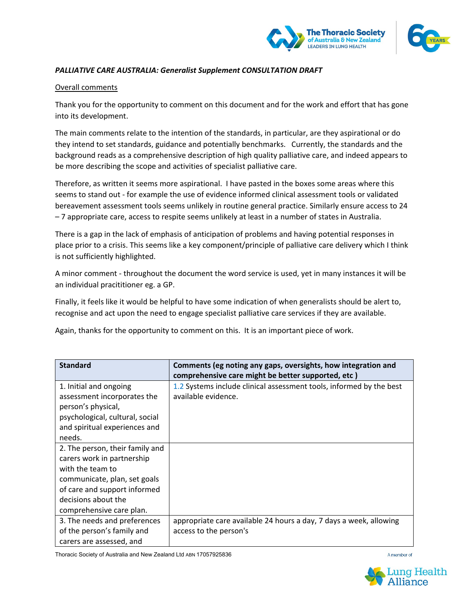



## *PALLIATIVE CARE AUSTRALIA: Generalist Supplement CONSULTATION DRAFT*

## Overall comments

Thank you for the opportunity to comment on this document and for the work and effort that has gone into its development.

The main comments relate to the intention of the standards, in particular, are they aspirational or do they intend to set standards, guidance and potentially benchmarks. Currently, the standards and the background reads as a comprehensive description of high quality palliative care, and indeed appears to be more describing the scope and activities of specialist palliative care.

Therefore, as written it seems more aspirational. I have pasted in the boxes some areas where this seems to stand out - for example the use of evidence informed clinical assessment tools or validated bereavement assessment tools seems unlikely in routine general practice. Similarly ensure access to 24 – 7 appropriate care, access to respite seems unlikely at least in a number of states in Australia.

There is a gap in the lack of emphasis of anticipation of problems and having potential responses in place prior to a crisis. This seems like a key component/principle of palliative care delivery which I think is not sufficiently highlighted.

A minor comment - throughout the document the word service is used, yet in many instances it will be an individual pracititioner eg. a GP.

Finally, it feels like it would be helpful to have some indication of when generalists should be alert to, recognise and act upon the need to engage specialist palliative care services if they are available.

Again, thanks for the opportunity to comment on this. It is an important piece of work.

| <b>Standard</b>                 | Comments (eg noting any gaps, oversights, how integration and<br>comprehensive care might be better supported, etc) |
|---------------------------------|---------------------------------------------------------------------------------------------------------------------|
| 1. Initial and ongoing          | 1.2 Systems include clinical assessment tools, informed by the best                                                 |
| assessment incorporates the     | available evidence.                                                                                                 |
| person's physical,              |                                                                                                                     |
| psychological, cultural, social |                                                                                                                     |
| and spiritual experiences and   |                                                                                                                     |
| needs.                          |                                                                                                                     |
| 2. The person, their family and |                                                                                                                     |
| carers work in partnership      |                                                                                                                     |
| with the team to                |                                                                                                                     |
| communicate, plan, set goals    |                                                                                                                     |
| of care and support informed    |                                                                                                                     |
| decisions about the             |                                                                                                                     |
| comprehensive care plan.        |                                                                                                                     |
| 3. The needs and preferences    | appropriate care available 24 hours a day, 7 days a week, allowing                                                  |
| of the person's family and      | access to the person's                                                                                              |
| carers are assessed, and        |                                                                                                                     |

Thoracic Society of Australia and New Zealand Ltd ABN 17057925836



A member of